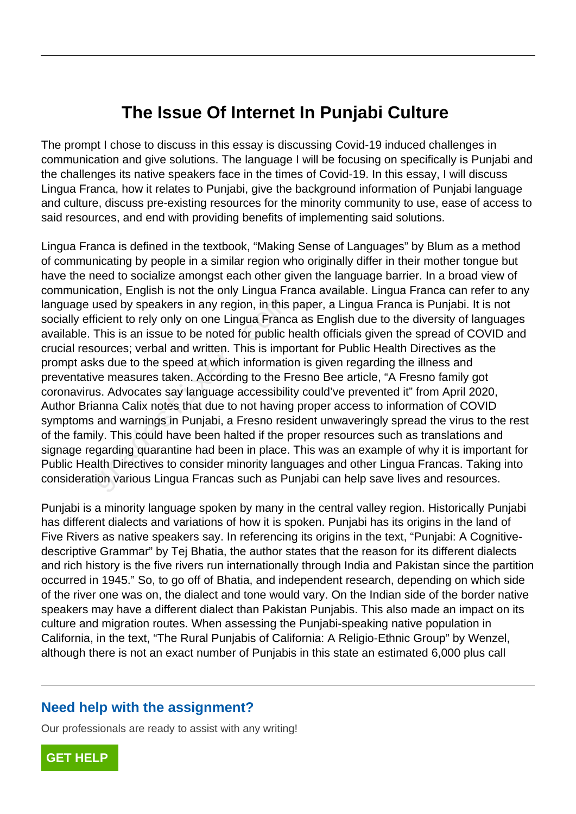# **The Issue Of Internet In Punjabi Culture**

The prompt I chose to discuss in this essay is discussing Covid-19 induced challenges in communication and give solutions. The language I will be focusing on specifically is Punjabi and the challenges its native speakers face in the times of Covid-19. In this essay, I will discuss Lingua Franca, how it relates to Punjabi, give the background information of Punjabi language and culture, discuss pre-existing resources for the minority community to use, ease of access to said resources, and end with providing benefits of implementing said solutions.

Lingua Franca is defined in the textbook, "Making Sense of Languages" by Blum as a method of communicating by people in a similar region who originally differ in their mother tongue but have the need to socialize amongst each other given the language barrier. In a broad view of communication, English is not the only Lingua Franca available. Lingua Franca can refer to any language used by speakers in any region, in this paper, a Lingua Franca is Punjabi. It is not socially efficient to rely only on one Lingua Franca as English due to the diversity of languages available. This is an issue to be noted for public health officials given the spread of COVID and crucial resources; verbal and written. This is important for Public Health Directives as the prompt asks due to the speed at which information is given regarding the illness and preventative measures taken. According to the Fresno Bee article, "A Fresno family got coronavirus. Advocates say language accessibility could've prevented it" from April 2020, Author Brianna Calix notes that due to not having proper access to information of COVID symptoms and warnings in Punjabi, a Fresno resident unwaveringly spread the virus to the rest of the family. This could have been halted if the proper resources such as translations and signage regarding quarantine had been in place. This was an example of why it is important for Public Health Directives to consider minority languages and other Lingua Francas. Taking into consideration various Lingua Francas such as Punjabi can help save lives and resources. used by speakers in any region, in this<br>icient to rely only on one Lingua Franc<br>This is an issue to be noted for public r<br>ources; verbal and written. This is impo<br>ks due to the speed at which informatic<br>ve measures taken.

Punjabi is a minority language spoken by many in the central valley region. Historically Punjabi has different dialects and variations of how it is spoken. Punjabi has its origins in the land of Five Rivers as native speakers say. In referencing its origins in the text, "Punjabi: A Cognitivedescriptive Grammar" by Tej Bhatia, the author states that the reason for its different dialects and rich history is the five rivers run internationally through India and Pakistan since the partition occurred in 1945." So, to go off of Bhatia, and independent research, depending on which side of the river one was on, the dialect and tone would vary. On the Indian side of the border native speakers may have a different dialect than Pakistan Punjabis. This also made an impact on its culture and migration routes. When assessing the Punjabi-speaking native population in California, in the text, "The Rural Punjabis of California: A Religio-Ethnic Group" by Wenzel, although there is not an exact number of Punjabis in this state an estimated 6,000 plus call

# **Need help with the assignment?**

Our professionals are ready to assist with any writing!

**[GET HELP](https://my.gradesfixer.com/order?utm_campaign=pdf_sample)**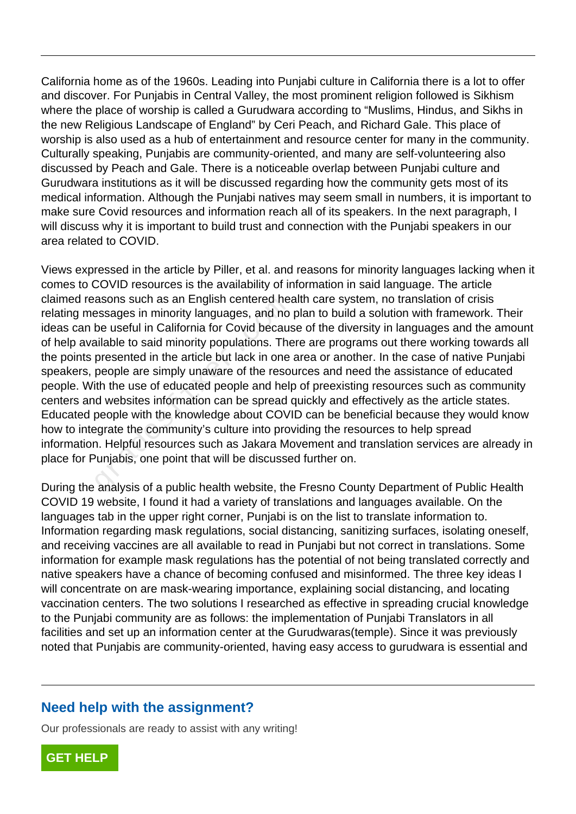California home as of the 1960s. Leading into Punjabi culture in California there is a lot to offer and discover. For Punjabis in Central Valley, the most prominent religion followed is Sikhism where the place of worship is called a Gurudwara according to "Muslims, Hindus, and Sikhs in the new Religious Landscape of England" by Ceri Peach, and Richard Gale. This place of worship is also used as a hub of entertainment and resource center for many in the community. Culturally speaking, Punjabis are community-oriented, and many are self-volunteering also discussed by Peach and Gale. There is a noticeable overlap between Punjabi culture and Gurudwara institutions as it will be discussed regarding how the community gets most of its medical information. Although the Punjabi natives may seem small in numbers, it is important to make sure Covid resources and information reach all of its speakers. In the next paragraph, I will discuss why it is important to build trust and connection with the Punjabi speakers in our area related to COVID.

Views expressed in the article by Piller, et al. and reasons for minority languages lacking when it comes to COVID resources is the availability of information in said language. The article claimed reasons such as an English centered health care system, no translation of crisis relating messages in minority languages, and no plan to build a solution with framework. Their ideas can be useful in California for Covid because of the diversity in languages and the amount of help available to said minority populations. There are programs out there working towards all the points presented in the article but lack in one area or another. In the case of native Punjabi speakers, people are simply unaware of the resources and need the assistance of educated people. With the use of educated people and help of preexisting resources such as community centers and websites information can be spread quickly and effectively as the article states. Educated people with the knowledge about COVID can be beneficial because they would know how to integrate the community's culture into providing the resources to help spread information. Helpful resources such as Jakara Movement and translation services are already in place for Punjabis, one point that will be discussed further on. asons such as an English centered near-<br>essages in minority languages, and no<br>be useful in California for Covid becaus<br>ailable to said minority populations. The<br>presented in the article but lack in one<br>people are simply un

During the analysis of a public health website, the Fresno County Department of Public Health COVID 19 website, I found it had a variety of translations and languages available. On the languages tab in the upper right corner, Punjabi is on the list to translate information to. Information regarding mask regulations, social distancing, sanitizing surfaces, isolating oneself, and receiving vaccines are all available to read in Punjabi but not correct in translations. Some information for example mask regulations has the potential of not being translated correctly and native speakers have a chance of becoming confused and misinformed. The three key ideas I will concentrate on are mask-wearing importance, explaining social distancing, and locating vaccination centers. The two solutions I researched as effective in spreading crucial knowledge to the Punjabi community are as follows: the implementation of Punjabi Translators in all facilities and set up an information center at the Gurudwaras(temple). Since it was previously noted that Punjabis are community-oriented, having easy access to gurudwara is essential and

### **Need help with the assignment?**

Our professionals are ready to assist with any writing!

**[GET HELP](https://my.gradesfixer.com/order?utm_campaign=pdf_sample)**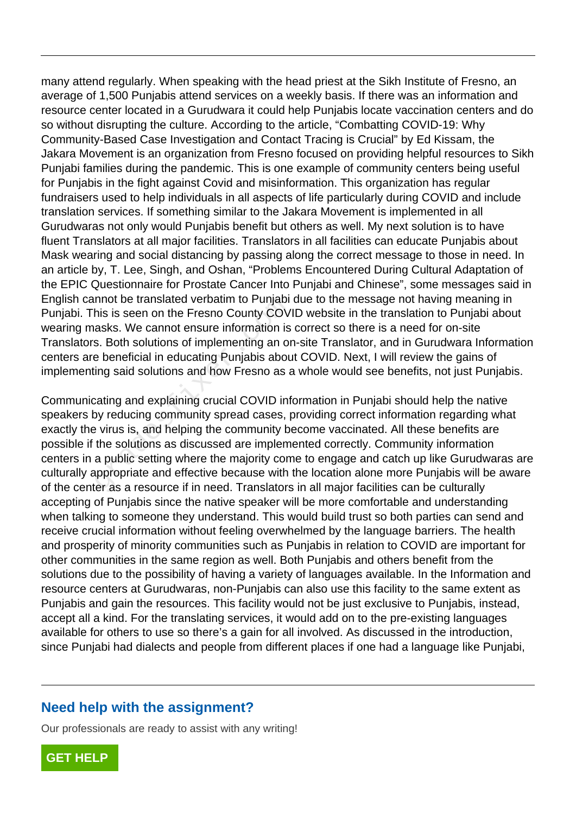many attend regularly. When speaking with the head priest at the Sikh Institute of Fresno, an average of 1,500 Punjabis attend services on a weekly basis. If there was an information and resource center located in a Gurudwara it could help Punjabis locate vaccination centers and do so without disrupting the culture. According to the article, "Combatting COVID-19: Why Community-Based Case Investigation and Contact Tracing is Crucial" by Ed Kissam, the Jakara Movement is an organization from Fresno focused on providing helpful resources to Sikh Punjabi families during the pandemic. This is one example of community centers being useful for Punjabis in the fight against Covid and misinformation. This organization has regular fundraisers used to help individuals in all aspects of life particularly during COVID and include translation services. If something similar to the Jakara Movement is implemented in all Gurudwaras not only would Punjabis benefit but others as well. My next solution is to have fluent Translators at all major facilities. Translators in all facilities can educate Punjabis about Mask wearing and social distancing by passing along the correct message to those in need. In an article by, T. Lee, Singh, and Oshan, "Problems Encountered During Cultural Adaptation of the EPIC Questionnaire for Prostate Cancer Into Punjabi and Chinese", some messages said in English cannot be translated verbatim to Punjabi due to the message not having meaning in Punjabi. This is seen on the Fresno County COVID website in the translation to Punjabi about wearing masks. We cannot ensure information is correct so there is a need for on-site Translators. Both solutions of implementing an on-site Translator, and in Gurudwara Information centers are beneficial in educating Punjabis about COVID. Next, I will review the gains of implementing said solutions and how Fresno as a whole would see benefits, not just Punjabis.

Communicating and explaining crucial COVID information in Punjabi should help the native speakers by reducing community spread cases, providing correct information regarding what exactly the virus is, and helping the community become vaccinated. All these benefits are possible if the solutions as discussed are implemented correctly. Community information centers in a public setting where the majority come to engage and catch up like Gurudwaras are culturally appropriate and effective because with the location alone more Punjabis will be aware of the center as a resource if in need. Translators in all major facilities can be culturally accepting of Punjabis since the native speaker will be more comfortable and understanding when talking to someone they understand. This would build trust so both parties can send and receive crucial information without feeling overwhelmed by the language barriers. The health and prosperity of minority communities such as Punjabis in relation to COVID are important for other communities in the same region as well. Both Punjabis and others benefit from the solutions due to the possibility of having a variety of languages available. In the Information and resource centers at Gurudwaras, non-Punjabis can also use this facility to the same extent as Punjabis and gain the resources. This facility would not be just exclusive to Punjabis, instead, accept all a kind. For the translating services, it would add on to the pre-existing languages available for others to use so there's a gain for all involved. As discussed in the introduction, since Punjabi had dialects and people from different places if one had a language like Punjabi, nnot be translated verbatter to Punjabr<br>his is seen on the Fresno County COV<br>asks. We cannot ensure information is<br>s. Both solutions of implementing an or<br>e beneficial in educating Punjabis abou<br>ing said solutions and how

### **Need help with the assignment?**

Our professionals are ready to assist with any writing!

**[GET HELP](https://my.gradesfixer.com/order?utm_campaign=pdf_sample)**